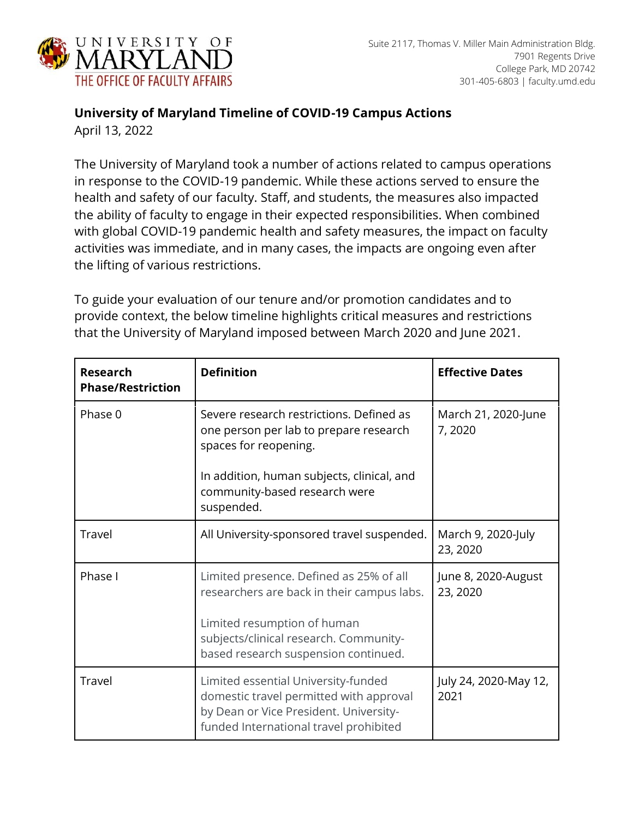

## **University of Maryland Timeline of COVID-19 Campus Actions**

April 13, 2022

The University of Maryland took a number of actions related to campus operations in response to the COVID-19 pandemic. While these actions served to ensure the health and safety of our faculty. Staff, and students, the measures also impacted the ability of faculty to engage in their expected responsibilities. When combined with global COVID-19 pandemic health and safety measures, the impact on faculty activities was immediate, and in many cases, the impacts are ongoing even after the lifting of various restrictions.

To guide your evaluation of our tenure and/or promotion candidates and to provide context, the below timeline highlights critical measures and restrictions that the University of Maryland imposed between March 2020 and June 2021.

| <b>Research</b><br><b>Phase/Restriction</b> | <b>Definition</b>                                                                                                                                                                                      | <b>Effective Dates</b>          |
|---------------------------------------------|--------------------------------------------------------------------------------------------------------------------------------------------------------------------------------------------------------|---------------------------------|
| Phase 0                                     | Severe research restrictions. Defined as<br>one person per lab to prepare research<br>spaces for reopening.                                                                                            | March 21, 2020-June<br>7,2020   |
|                                             | In addition, human subjects, clinical, and<br>community-based research were<br>suspended.                                                                                                              |                                 |
| Travel                                      | All University-sponsored travel suspended.                                                                                                                                                             | March 9, 2020-July<br>23, 2020  |
| Phase I                                     | Limited presence. Defined as 25% of all<br>researchers are back in their campus labs.<br>Limited resumption of human<br>subjects/clinical research. Community-<br>based research suspension continued. | June 8, 2020-August<br>23, 2020 |
| Travel                                      | Limited essential University-funded<br>domestic travel permitted with approval<br>by Dean or Vice President. University-<br>funded International travel prohibited                                     | July 24, 2020-May 12,<br>2021   |